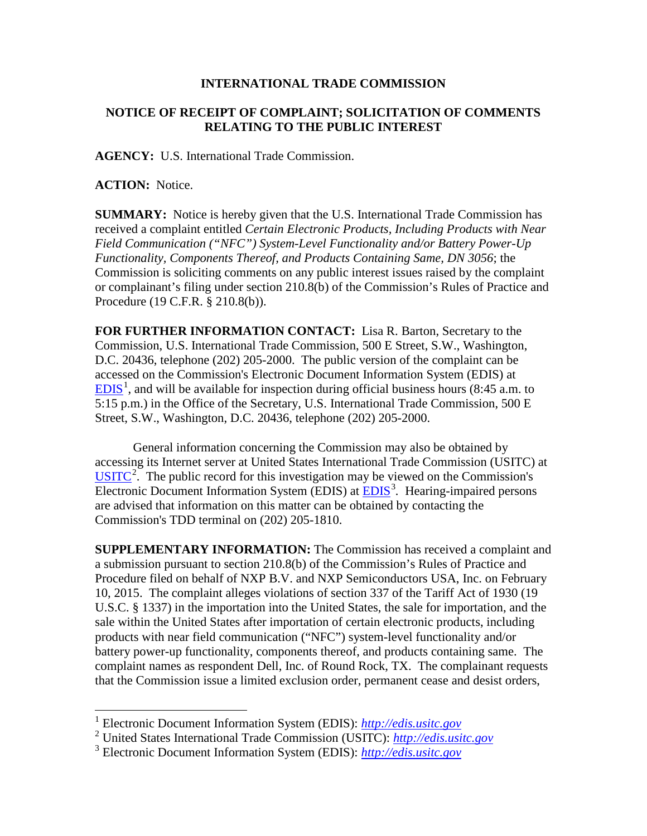## **INTERNATIONAL TRADE COMMISSION**

## **NOTICE OF RECEIPT OF COMPLAINT; SOLICITATION OF COMMENTS RELATING TO THE PUBLIC INTEREST**

**AGENCY:** U.S. International Trade Commission.

**ACTION:** Notice.

 $\overline{a}$ 

**SUMMARY:** Notice is hereby given that the U.S. International Trade Commission has received a complaint entitled *Certain Electronic Products, Including Products with Near Field Communication ("NFC") System-Level Functionality and/or Battery Power-Up Functionality, Components Thereof, and Products Containing Same, DN 3056*; the Commission is soliciting comments on any public interest issues raised by the complaint or complainant's filing under section 210.8(b) of the Commission's Rules of Practice and Procedure (19 C.F.R. § 210.8(b)).

**FOR FURTHER INFORMATION CONTACT:** Lisa R. Barton, Secretary to the Commission, U.S. International Trade Commission, 500 E Street, S.W., Washington, D.C. 20436, telephone (202) 205-2000. The public version of the complaint can be accessed on the Commission's Electronic Document Information System (EDIS) at  $EDIS<sup>1</sup>$  $EDIS<sup>1</sup>$  $EDIS<sup>1</sup>$  $EDIS<sup>1</sup>$ , and will be available for inspection during official business hours (8:45 a.m. to 5:15 p.m.) in the Office of the Secretary, U.S. International Trade Commission, 500 E Street, S.W., Washington, D.C. 20436, telephone (202) 205-2000.

General information concerning the Commission may also be obtained by accessing its Internet server at United States International Trade Commission (USITC) at  $\overline{USTTC}^2$  $\overline{USTTC}^2$ . The public record for this investigation may be viewed on the Commission's Electronic Document Information System (EDIS) at **EDIS**<sup>[3](#page-0-2)</sup>. Hearing-impaired persons are advised that information on this matter can be obtained by contacting the Commission's TDD terminal on (202) 205-1810.

**SUPPLEMENTARY INFORMATION:** The Commission has received a complaint and a submission pursuant to section 210.8(b) of the Commission's Rules of Practice and Procedure filed on behalf of NXP B.V. and NXP Semiconductors USA, Inc. on February 10, 2015. The complaint alleges violations of section 337 of the Tariff Act of 1930 (19 U.S.C. § 1337) in the importation into the United States, the sale for importation, and the sale within the United States after importation of certain electronic products, including products with near field communication ("NFC") system-level functionality and/or battery power-up functionality, components thereof, and products containing same. The complaint names as respondent Dell, Inc. of Round Rock, TX. The complainant requests that the Commission issue a limited exclusion order, permanent cease and desist orders,

<sup>1</sup> Electronic Document Information System (EDIS): *[http://edis.usitc.gov](http://edis.usitc.gov/)*

<span id="page-0-1"></span><span id="page-0-0"></span><sup>2</sup> United States International Trade Commission (USITC): *[http://edis.usitc.gov](http://edis.usitc.gov/)*

<span id="page-0-2"></span><sup>3</sup> Electronic Document Information System (EDIS): *[http://edis.usitc.gov](http://edis.usitc.gov/)*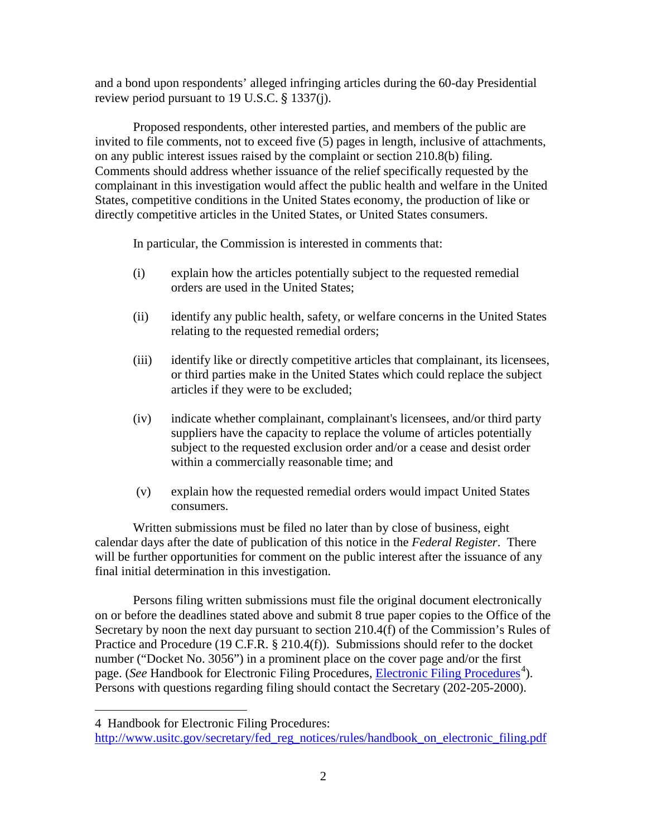and a bond upon respondents' alleged infringing articles during the 60-day Presidential review period pursuant to 19 U.S.C. § 1337(j).

Proposed respondents, other interested parties, and members of the public are invited to file comments, not to exceed five (5) pages in length, inclusive of attachments, on any public interest issues raised by the complaint or section 210.8(b) filing. Comments should address whether issuance of the relief specifically requested by the complainant in this investigation would affect the public health and welfare in the United States, competitive conditions in the United States economy, the production of like or directly competitive articles in the United States, or United States consumers.

In particular, the Commission is interested in comments that:

- (i) explain how the articles potentially subject to the requested remedial orders are used in the United States;
- (ii) identify any public health, safety, or welfare concerns in the United States relating to the requested remedial orders;
- (iii) identify like or directly competitive articles that complainant, its licensees, or third parties make in the United States which could replace the subject articles if they were to be excluded;
- (iv) indicate whether complainant, complainant's licensees, and/or third party suppliers have the capacity to replace the volume of articles potentially subject to the requested exclusion order and/or a cease and desist order within a commercially reasonable time; and
- (v) explain how the requested remedial orders would impact United States consumers.

Written submissions must be filed no later than by close of business, eight calendar days after the date of publication of this notice in the *Federal Register*. There will be further opportunities for comment on the public interest after the issuance of any final initial determination in this investigation.

Persons filing written submissions must file the original document electronically on or before the deadlines stated above and submit 8 true paper copies to the Office of the Secretary by noon the next day pursuant to section 210.4(f) of the Commission's Rules of Practice and Procedure (19 C.F.R. § 210.4(f)). Submissions should refer to the docket number ("Docket No. 3056") in a prominent place on the cover page and/or the first page. (*See* Handbook for [Electronic Filing Procedures](http://www.usitc.gov/secretary/fed_reg_notices/rules/handbook_on_electronic_filing.pdf), *Electronic Filing Procedures*<sup>[4](#page-1-0)</sup>). Persons with questions regarding filing should contact the Secretary (202-205-2000).

 $\overline{a}$ 

<span id="page-1-0"></span><sup>4</sup> Handbook for Electronic Filing Procedures:

[http://www.usitc.gov/secretary/fed\\_reg\\_notices/rules/handbook\\_on\\_electronic\\_filing.pdf](http://www.usitc.gov/secretary/fed_reg_notices/rules/handbook_on_electronic_filing.pdf)